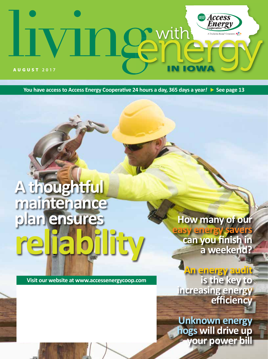# **Access**<br>Energy • with  $\mathbf{Q}$ AUGUST **2017**

**You have access to Access Energy Cooperative 24 hours a day, 365 days a year***!* **See page 13**

# **A thoughtful maintenance plan ensures reliability**

**Visit our website at www.accessenergycoop.com**

## **How many of our**

**easy energy savers can you finish in a weekend?**

**An energy audit is the key to increasing energy efficiency**

**Unknown energy hogs will drive up your power bill**

January 2017 **LIVING WITH ENERGY** IN IOWA **1**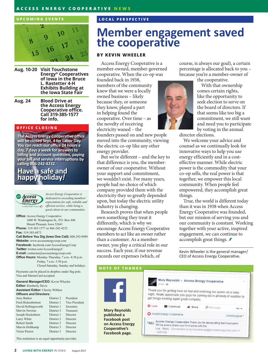### **ACCESS ENERGY COOPERATIVE NEWS**

#### **UPCOMING EVENTS**



- **Aug. 10-20 Visit Touchstone Energy® Cooperatives of Iowa in the Bruce L. Rastetter 4-H Exhibits Building at the Iowa State Fair**
- **Aug. 24 Blood Drive at the Access Energy Cooperative office. Call 319-385-1577 for info.**

### **OFFICE CLOSING**

**The Access Energy Cooperative office will be closed Sept. 4 for Labor Day. You can reach our office 24 hours a day, 7 days a week for answers to billing and account questions, paying your bill and service interruptions by calling 866-242-4232.**

### **Have a safe and happy holiday***!*



*Access Energy Cooperative is dedicated to exceeding members' expectations for safe, reliable and efficient service, while being a good citizen in our communities.*

**Office:** Access Energy Cooperative 1800 W. Washington St., P.O. Box 440 Mount Pleasant, Iowa 52641 **Phone:** 319-385-1577 or 866-242-4232 **Fax:** 319-385-6873

**Call Before You Dig (Iowa One Call):** 800-292-8989 **Website:** www.accessenergycoop.com

**Facebook:** facebook.com/AccessEnergyCoop **Twitter:** twitter.com/AccessEnergyC **E-mail:** contactus@accessenergycoop.com **Office Hours:** Monday-Thursday, 7 a.m.-4:30 p.m. Friday, 7 a.m.-3:30 p.m. Closed Saturday, Sunday and holidays

Payments can be placed in dropbox under flag pole. Visa and MasterCard accepted.

**General Manager/CEO:** Kevin Wheeler **Editor:** Kimberly Davis **Assistant Editor:** Cherity Wibben **Officers and Directors:**

| Jerry Barker             | District 2 | President             |
|--------------------------|------------|-----------------------|
| <b>Fred Hickenbottom</b> | District 1 | <b>Vice President</b> |
| David Hollingsworth      | District 1 | Secretary             |
| Marvin Newton            | District 3 | Treasurer             |
| Joseph Heckethorn        | District 1 | Director              |
| Larry White              | District 2 | Director              |
| Robert Smith             | District 2 | Director              |
| Marvin Holtkamp          | District 3 | Director              |
| <b>Victor Pierrot</b>    | District 3 | Director              |
|                          |            |                       |

This institution is an equal opportunity provider.

### **LOCAL PERSPECTIVE**

### **Member engagement saved the cooperative**

### **BY KEVIN WHEELER**

Access Energy Cooperative is a member-owned, member-governed cooperative. When the co-op was

founded back in 1938, members of the community knew that we were a locally owned business – likely because they, or someone they knew, played a part in helping found the cooperative. Over time – as the novelty of receiving electricity waned – the

founders passed on and new people moved into the community, viewing the electric co-op like any other energy provider.

But we're different – and the key to that difference is you, the memberowner of our cooperative. Without your support and commitment, we wouldn't exist. For many years, people had no choice of which company provided them with the electricity they so greatly depended upon, but today the electric utility industry is changing.

Research proves that when people own something they treat it differently, which is why we encourage Access Energy Cooperative members to act like an owner rather than a customer. As a memberowner, you play a critical role in our success. Each year, if our revenue exceeds our expenses (which, of



course, is always our goal), a certain percentage is allocated back to you – because you're a member-owner of

the cooperative.

With that ownership comes certain rights, like the opportunity to seek election to serve on the board of directors. If that seems like too big a commitment, we still want and need you to participate by voting in the annual

director elections.

We welcome your advice and counsel as we continually look for innovative ways to help you use energy efficiently and in a costeffective manner. While electric power is the commodity that your co-op sells, the real power is that together, we empower this local community. When people feel empowered, they accomplish great things.

True, the world is different today than it was in 1938 when Access Energy Cooperative was founded, but our mission of serving you and our community is constant. Working together with your active, inspired engagement, we can continue to accomplish great things.  $\ddot{\mathcal{F}}$ 

Kevin Wheeler is the general manager/ CEO of Access Energy Cooperative.

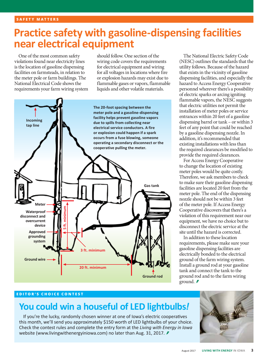# **Practice safety with gasoline-dispensing facilities near electrical equipment**

One of the most common safety violations found near electricity lines is the location of gasoline dispensing facilities on farmsteads, in relation to the meter pole or farm buildings. The National Electrical Code shows the requirements your farm wiring system

should follow. One section of the wiring code covers the requirements for electrical equipment and wiring for all voltages in locations where fire or explosion hazards may exist due to flammable gases or vapors, flammable liquids and other volatile materials.



### The National Electric Safety Code (NESC) outlines the standards that the utility follows. Because of the hazard that exists in the vicinity of gasoline dispensing facilities, and especially the hazard to Access Energy Cooperative personnel wherever there's a possibility of electric sparks or arcing igniting flammable vapors, the NESC suggests that electric utilities not permit the installation of meter poles or service entrances within 20 feet of a gasoline dispensing barrel or tank – or within 3 feet of any point that could be reached by a gasoline dispensing nozzle. In addition, it's recommended that existing installations with less than the required clearances be modified to provide the required clearances.

For Access Energy Cooperative to change the location of existing meter poles would be quite costly. Therefore, we ask members to check to make sure their gasoline dispensing facilities are located 20 feet from the meter pole. The end of the dispensing nozzle should not be within 3 feet of the meter pole. If Access Energy Cooperative discovers that there's a violation of this requirement near our equipment, we have no choice but to disconnect the electric service at the site until the hazard is corrected.

In addition to these location requirements, please make sure your gasoline dispensing facilities are electrically bonded to the electrical ground of the farm wiring system. Install a ground rod at your gasoline tank and connect the tank to the ground rod and to the farm wiring ground.  $\blacktriangleright$ 

### **EDITOR'S CHOICE CONTEST**

### **You could win a houseful of LED lightbulbs***!*

If you're the lucky, randomly chosen winner at one of Iowa's electric cooperatives this month, we'll send you approximately \$150 worth of LED lightbulbs of your choice. Check the contest rules and complete the entry form at the *Living with Energy in Iowa* website (www.livingwithenergyiniowa.com) no later than Aug. 31, 2017. *₹* 

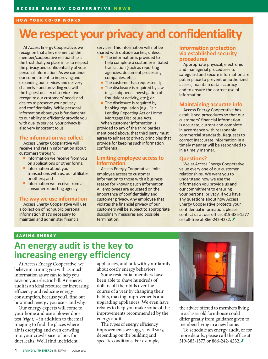#### **HOW YOUR CO-OP WORKS**

# **We respect your privacy and confidentiality**

At Access Energy Cooperative, we recognize that a key element of the member/cooperative relationship is the trust that you place in us to respect the privacy and confidentiality of your personal information. As we continue our commitment to improving and expanding our services and delivery channels – and providing you with the highest quality of service – we recognize our customers' needs and desires to preserve your privacy and confidentiality. While personal information about you is fundamental to our ability to efficiently provide you with quality service, your privacy is also very important to us.

### **The information we collect**

Access Energy Cooperative will receive and retain information about customers through:

- Information we receive from you on applications or other forms;
- **Information about your** transactions with us, our affiliates or others; and
- Information we receive from a consumer-reporting agency.

### **The way we use information**

Access Energy Cooperative will use a collection of nonpublic personal information that's necessary to maintain and administer financial

services. This information will not be shared with outside parties, unless:

- п The information is provided to help complete a customer initiated transaction (such as reporting agencies, document processing companies, etc.);
- $\blacksquare$  The customer has requested it;
- $\blacksquare$  The disclosure is required by law (e.g., subpoena, investigation of fraudulent activity, etc.); or
- $\blacksquare$  The disclosure is required by banking regulation (e.g., Fair Lending Reporting Act or Home Mortgage Disclosure Act).

When customer information is provided to any of the third parties mentioned above, that third party must agree to adhere to privacy principles that provide for keeping such information confidential.

### **Limiting employee access to information**

Access Energy Cooperative limits employee access to customer information to those with a business reason for knowing such information. All employees are educated on the importance of confidentiality and customer privacy. Any employee that violates the financial privacy of our customers will be subject to appropriate disciplinary measures and possible termination.

### **Information protection via established security procedures**

Appropriate physical, electronic and managerial procedures to safeguard and secure information are put in place to prevent unauthorized access, maintain data accuracy and to ensure the correct use of information.

### **Maintaining accurate info**

Access Energy Cooperative has established procedures so that our customers' financial information is accurate, current and complete in accordance with reasonable commercial standards. Requests to correct inaccurate information in a timely manner will be responded to in a timely manner.

### **Questions?**

We at Access Energy Cooperative value every one of our customer relationships. We want you to understand how we use the information you provide us and our commitment to ensuring your personal privacy. If you have any questions about how Access Energy Cooperative protects your confidential information, please contact us at our office: 319-385-1577 or toll-free at 866-242-4232.

### **SAVING ENERGY**

### **An energy audit is the key to increasing energy efficiency**

At Access Energy Cooperative, we believe in arming you with as much information as we can to help you save on your electric bill. An energy audit is an ideal resource for increasing efficiency and reducing energy consumption, because you'll find out how much energy you use – and why.

Our energy experts will come to your home and use a blower door test *(right)* – in addition to thermal imaging to find the places where air is escaping and even crawling into your crawlspace to look for duct leaks. We'll find inefficient

appliances, and talk with your family about costly energy behaviors.

Some residential members have been able to shave hundreds of dollars off their bills over the course of a year by changing their habits, making improvements and upgrading appliances. We even have rebates to help you make some of the improvements recommended by the energy audit.

The types of energy efficiency improvements we suggest will vary, depending on the building and specific conditions. For example,



the advice offered to members living in a classic old farmhouse could differ greatly from guidance given to members living in a new home.

To schedule an energy audit, or for more details, please call the office at 319-385-1577 or 866-242-4232.